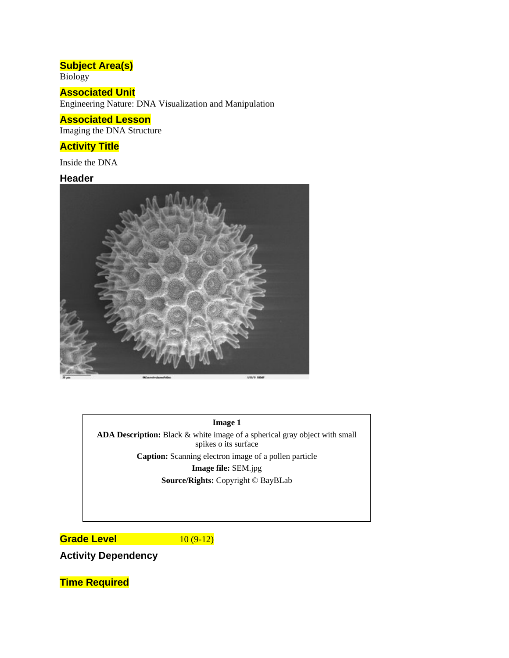# **Subject Area(s)**

Biology

## **Associated Unit**

Engineering Nature: DNA Visualization and Manipulation

## **Associated Lesson**

Imaging the DNA Structure

## **Activity Title**

Inside the DNA

## **Header**



#### **Image 1**

**ADA Description:** Black & white image of a spherical gray object with small spikes o its surface **Caption:** Scanning electron image of a pollen particle **Image file:** SEM.jpg

**Source/Rights:** Copyright © BayBLab

**Grade Level 10 (9-12)** 

**Activity Dependency** 

**Time Required**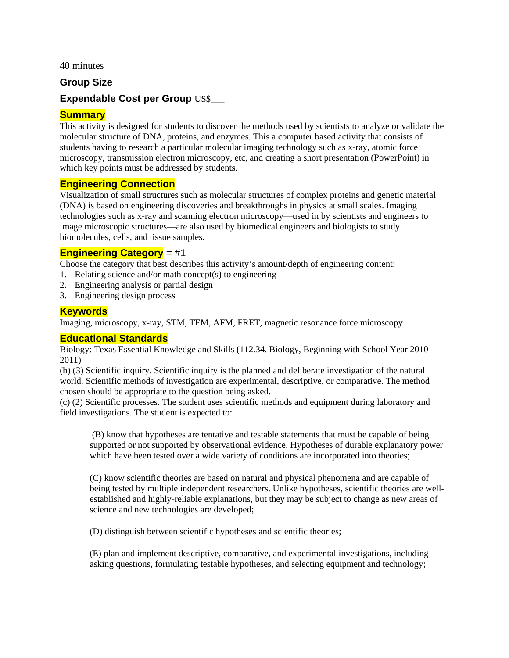40 minutes

### **Group Size**

## **Expendable Cost per Group** US\$\_\_\_

## **Summary**

This activity is designed for students to discover the methods used by scientists to analyze or validate the molecular structure of DNA, proteins, and enzymes. This a computer based activity that consists of students having to research a particular molecular imaging technology such as x-ray, atomic force microscopy, transmission electron microscopy, etc, and creating a short presentation (PowerPoint) in which key points must be addressed by students.

#### **Engineering Connection**

Visualization of small structures such as molecular structures of complex proteins and genetic material (DNA) is based on engineering discoveries and breakthroughs in physics at small scales. Imaging technologies such as x-ray and scanning electron microscopy—used in by scientists and engineers to image microscopic structures—are also used by biomedical engineers and biologists to study biomolecules, cells, and tissue samples.

#### **Engineering Category** = #1

Choose the category that best describes this activity's amount/depth of engineering content:

- 1. Relating science and/or math concept(s) to engineering
- 2. Engineering analysis or partial design
- 3. Engineering design process

#### **Keywords**

Imaging, microscopy, x-ray, STM, TEM, AFM, FRET, magnetic resonance force microscopy

#### **Educational Standards**

Biology: Texas Essential Knowledge and Skills (112.34. Biology, Beginning with School Year 2010-- 2011)

(b) (3) Scientific inquiry. Scientific inquiry is the planned and deliberate investigation of the natural world. Scientific methods of investigation are experimental, descriptive, or comparative. The method chosen should be appropriate to the question being asked.

(c) (2) Scientific processes. The student uses scientific methods and equipment during laboratory and field investigations. The student is expected to:

 (B) know that hypotheses are tentative and testable statements that must be capable of being supported or not supported by observational evidence. Hypotheses of durable explanatory power which have been tested over a wide variety of conditions are incorporated into theories;

(C) know scientific theories are based on natural and physical phenomena and are capable of being tested by multiple independent researchers. Unlike hypotheses, scientific theories are wellestablished and highly-reliable explanations, but they may be subject to change as new areas of science and new technologies are developed;

(D) distinguish between scientific hypotheses and scientific theories;

(E) plan and implement descriptive, comparative, and experimental investigations, including asking questions, formulating testable hypotheses, and selecting equipment and technology;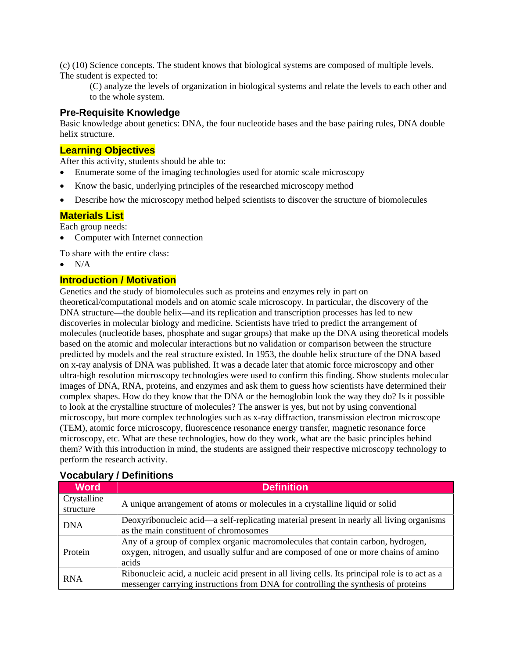(c) (10) Science concepts. The student knows that biological systems are composed of multiple levels. The student is expected to:

(C) analyze the levels of organization in biological systems and relate the levels to each other and to the whole system.

#### **Pre-Requisite Knowledge**

Basic knowledge about genetics: DNA, the four nucleotide bases and the base pairing rules, DNA double helix structure.

### **Learning Objectives**

After this activity, students should be able to:

- Enumerate some of the imaging technologies used for atomic scale microscopy
- Know the basic, underlying principles of the researched microscopy method
- Describe how the microscopy method helped scientists to discover the structure of biomolecules

## **Materials List**

Each group needs:

• Computer with Internet connection

To share with the entire class:

 $\bullet$  N/A

## **Introduction / Motivation**

Genetics and the study of biomolecules such as proteins and enzymes rely in part on theoretical/computational models and on atomic scale microscopy. In particular, the discovery of the DNA structure—the double helix—and its replication and transcription processes has led to new discoveries in molecular biology and medicine. Scientists have tried to predict the arrangement of molecules (nucleotide bases, phosphate and sugar groups) that make up the DNA using theoretical models based on the atomic and molecular interactions but no validation or comparison between the structure predicted by models and the real structure existed. In 1953, the double helix structure of the DNA based on x-ray analysis of DNA was published. It was a decade later that atomic force microscopy and other ultra-high resolution microscopy technologies were used to confirm this finding. Show students molecular images of DNA, RNA, proteins, and enzymes and ask them to guess how scientists have determined their complex shapes. How do they know that the DNA or the hemoglobin look the way they do? Is it possible to look at the crystalline structure of molecules? The answer is yes, but not by using conventional microscopy, but more complex technologies such as x-ray diffraction, transmission electron microscope (TEM), atomic force microscopy, fluorescence resonance energy transfer, magnetic resonance force microscopy, etc. What are these technologies, how do they work, what are the basic principles behind them? With this introduction in mind, the students are assigned their respective microscopy technology to perform the research activity.

| <b>Word</b>              | <b>Definition</b>                                                                                                                                                                     |
|--------------------------|---------------------------------------------------------------------------------------------------------------------------------------------------------------------------------------|
| Crystalline<br>structure | A unique arrangement of atoms or molecules in a crystalline liquid or solid                                                                                                           |
| <b>DNA</b>               | Deoxyribonucleic acid—a self-replicating material present in nearly all living organisms<br>as the main constituent of chromosomes                                                    |
| Protein                  | Any of a group of complex organic macromolecules that contain carbon, hydrogen,<br>oxygen, nitrogen, and usually sulfur and are composed of one or more chains of amino<br>acids      |
| <b>RNA</b>               | Ribonucleic acid, a nucleic acid present in all living cells. Its principal role is to act as a<br>messenger carrying instructions from DNA for controlling the synthesis of proteins |

#### **Vocabulary / Definitions**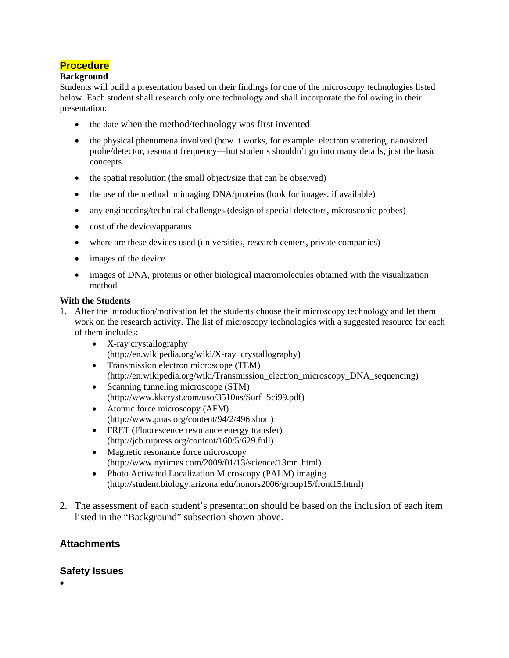## **Procedure**

#### **Background**

Students will build a presentation based on their findings for one of the microscopy technologies listed below. Each student shall research only one technology and shall incorporate the following in their presentation:

- the date when the method/technology was first invented
- the physical phenomena involved (how it works, for example: electron scattering, nanosized probe/detector, resonant frequency—but students shouldn't go into many details, just the basic concepts
- the spatial resolution (the small object/size that can be observed)
- the use of the method in imaging DNA/proteins (look for images, if available)
- any engineering/technical challenges (design of special detectors, microscopic probes)
- cost of the device/apparatus
- where are these devices used (universities, research centers, private companies)
- images of the device
- images of DNA, proteins or other biological macromolecules obtained with the visualization method

#### **With the Students**

- 1. After the introduction/motivation let the students choose their microscopy technology and let them work on the research activity. The list of microscopy technologies with a suggested resource for each of them includes:
	- X-ray crystallography (http://en.wikipedia.org/wiki/X-ray\_crystallography)
	- Transmission electron microscope (TEM) (http://en.wikipedia.org/wiki/Transmission\_electron\_microscopy\_DNA\_sequencing)
	- Scanning tunneling microscope (STM) (http://www.kkcryst.com/uso/3510us/Surf\_Sci99.pdf)
	- Atomic force microscopy (AFM) (http://www.pnas.org/content/94/2/496.short)
	- FRET (Fluorescence resonance energy transfer) (http://jcb.rupress.org/content/160/5/629.full)
	- Magnetic resonance force microscopy (http://www.nytimes.com/2009/01/13/science/13mri.html)
	- Photo Activated Localization Microscopy (PALM) imaging (http://student.biology.arizona.edu/honors2006/group15/front15.html)
- 2. The assessment of each student's presentation should be based on the inclusion of each item listed in the "Background" subsection shown above.

## **Attachments**

#### **Safety Issues**

 $\bullet$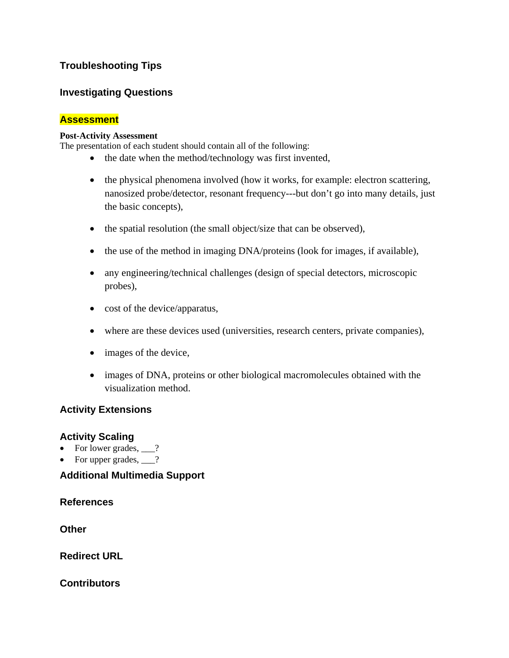## **Troubleshooting Tips**

## **Investigating Questions**

## **Assessment**

#### **Post-Activity Assessment**

The presentation of each student should contain all of the following:

- the date when the method/technology was first invented,
- the physical phenomena involved (how it works, for example: electron scattering, nanosized probe/detector, resonant frequency---but don't go into many details, just the basic concepts),
- the spatial resolution (the small object/size that can be observed),
- the use of the method in imaging DNA/proteins (look for images, if available),
- any engineering/technical challenges (design of special detectors, microscopic probes),
- cost of the device/apparatus,
- where are these devices used (universities, research centers, private companies),
- images of the device,
- images of DNA, proteins or other biological macromolecules obtained with the visualization method.

## **Activity Extensions**

#### **Activity Scaling**

- For lower grades,  $\qquad$ ?
- For upper grades,  $\frac{1}{2}$ ?

## **Additional Multimedia Support**

**References** 

**Other** 

**Redirect URL** 

**Contributors**